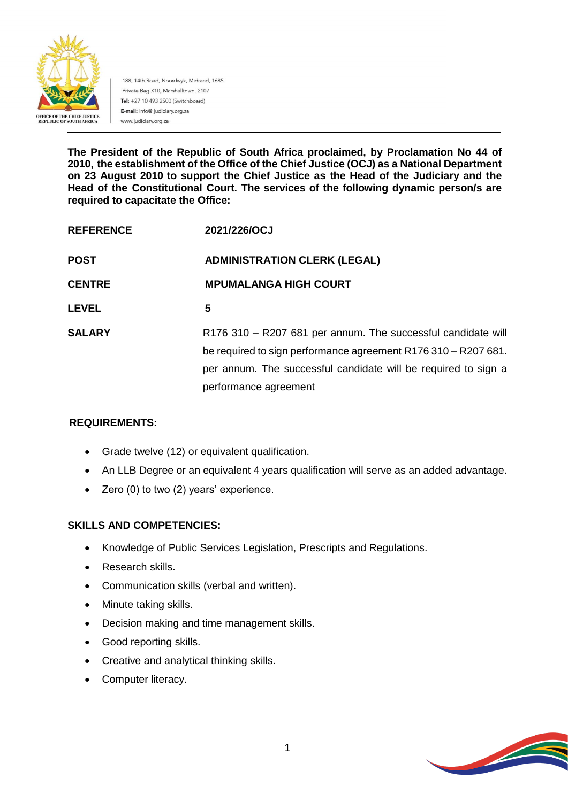

188, 14th Road, Noordwyk, Midrand, 1685 Private Bag X10, Marshalltown, 2107 Tel: +27 10 493 2500 (Switchboard) E-mail: info@ judiciary.org.za www.judiciary.org.za

**The President of the Republic of South Africa proclaimed, by Proclamation No 44 of 2010, the establishment of the Office of the Chief Justice (OCJ) as a National Department on 23 August 2010 to support the Chief Justice as the Head of the Judiciary and the Head of the Constitutional Court. The services of the following dynamic person/s are required to capacitate the Office:**

| <b>REFERENCE</b> | 2021/226/OCJ                                                                                                                   |
|------------------|--------------------------------------------------------------------------------------------------------------------------------|
| <b>POST</b>      | <b>ADMINISTRATION CLERK (LEGAL)</b>                                                                                            |
| <b>CENTRE</b>    | <b>MPUMALANGA HIGH COURT</b>                                                                                                   |
| <b>LEVEL</b>     | 5                                                                                                                              |
| <b>SALARY</b>    | R176 310 - R207 681 per annum. The successful candidate will<br>be required to sign performance agreement R176 310 - R207 681. |
|                  | per annum. The successful candidate will be required to sign a                                                                 |
|                  | performance agreement                                                                                                          |

# **REQUIREMENTS:**

- Grade twelve (12) or equivalent qualification.
- An LLB Degree or an equivalent 4 years qualification will serve as an added advantage.
- Zero (0) to two (2) years' experience.

# **SKILLS AND COMPETENCIES:**

- Knowledge of Public Services Legislation, Prescripts and Regulations.
- Research skills.
- Communication skills (verbal and written).
- Minute taking skills.
- Decision making and time management skills.
- Good reporting skills.
- Creative and analytical thinking skills.
- Computer literacy.

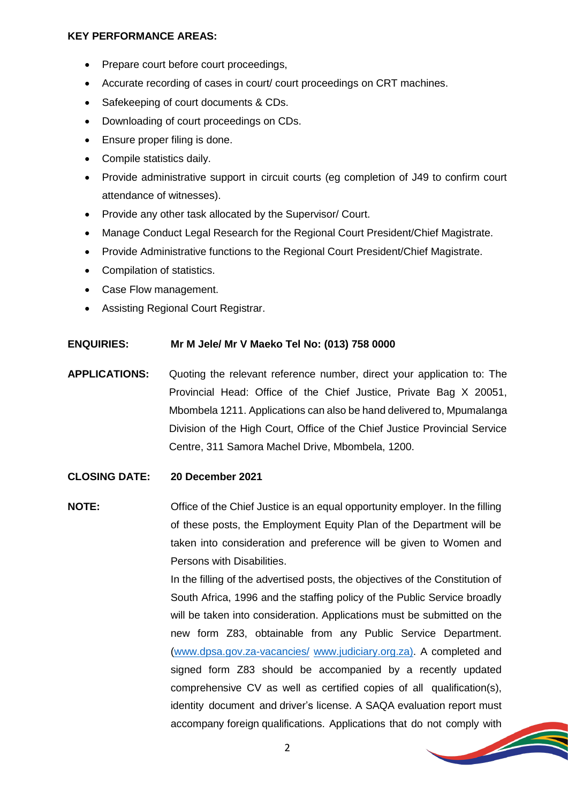### **KEY PERFORMANCE AREAS:**

- Prepare court before court proceedings,
- Accurate recording of cases in court/ court proceedings on CRT machines.
- Safekeeping of court documents & CDs.
- Downloading of court proceedings on CDs.
- Ensure proper filing is done.
- Compile statistics daily.
- Provide administrative support in circuit courts (eg completion of J49 to confirm court attendance of witnesses).
- Provide any other task allocated by the Supervisor/ Court.
- Manage Conduct Legal Research for the Regional Court President/Chief Magistrate.
- Provide Administrative functions to the Regional Court President/Chief Magistrate.
- Compilation of statistics.
- Case Flow management.
- Assisting Regional Court Registrar.

## **ENQUIRIES: Mr M Jele/ Mr V Maeko Tel No: (013) 758 0000**

**APPLICATIONS:** Quoting the relevant reference number, direct your application to: The Provincial Head: Office of the Chief Justice, Private Bag X 20051, Mbombela 1211. Applications can also be hand delivered to, Mpumalanga Division of the High Court, Office of the Chief Justice Provincial Service Centre, 311 Samora Machel Drive, Mbombela, 1200.

## **CLOSING DATE: 20 December 2021**

**NOTE:** Office of the Chief Justice is an equal opportunity employer. In the filling of these posts, the Employment Equity Plan of the Department will be taken into consideration and preference will be given to Women and Persons with Disabilities.

> In the filling of the advertised posts, the objectives of the Constitution of South Africa, 1996 and the staffing policy of the Public Service broadly will be taken into consideration. Applications must be submitted on the new form Z83, obtainable from any Public Service Department. [\(www.dpsa.gov.za-vacancies/](http://www.dpsa.gov.za-vacancies/) [www.judiciary.org.za\)](http://www.judiciary.org.za/). A completed and signed form Z83 should be accompanied by a recently updated comprehensive CV as well as certified copies of all qualification(s), identity document and driver's license. A SAQA evaluation report must accompany foreign qualifications. Applications that do not comply with

> > **STEAMERS**